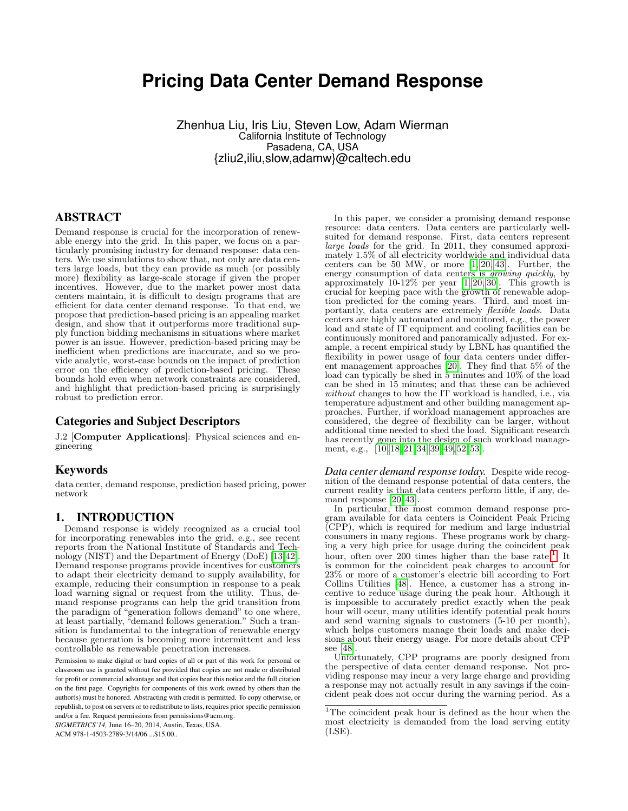# **Pricing Data Center Demand Response**

Zhenhua Liu, Iris Liu, Steven Low, Adam Wierman California Institute of Technology Pasadena, CA, USA {zliu2,iliu,slow,adamw}@caltech.edu

# ABSTRACT

Demand response is crucial for the incorporation of renewable energy into the grid. In this paper, we focus on a particularly promising industry for demand response: data centers. We use simulations to show that, not only are data centers large loads, but they can provide as much (or possibly more) flexibility as large-scale storage if given the proper incentives. However, due to the market power most data centers maintain, it is difficult to design programs that are efficient for data center demand response. To that end, we propose that prediction-based pricing is an appealing market design, and show that it outperforms more traditional supply function bidding mechanisms in situations where market power is an issue. However, prediction-based pricing may be inefficient when predictions are inaccurate, and so we provide analytic, worst-case bounds on the impact of prediction error on the efficiency of prediction-based pricing. These bounds hold even when network constraints are considered, and highlight that prediction-based pricing is surprisingly robust to prediction error.

# Categories and Subject Descriptors

J.2 [Computer Applications]: Physical sciences and engineering

# Keywords

data center, demand response, prediction based pricing, power network

# 1. INTRODUCTION

Demand response is widely recognized as a crucial tool for incorporating renewables into the grid, e.g., see recent reports from the National Institute of Standards and Technology (NIST) and the Department of Energy (DoE) [\[13,](#page-10-0)[42\]](#page-11-0). Demand response programs provide incentives for customers to adapt their electricity demand to supply availability, for example, reducing their consumption in response to a peak load warning signal or request from the utility. Thus, demand response programs can help the grid transition from the paradigm of "generation follows demand" to one where, at least partially, "demand follows generation." Such a transition is fundamental to the integration of renewable energy because generation is becoming more intermittent and less controllable as renewable penetration increases.

*SIGMETRICS'14,* June 16–20, 2014, Austin, Texas, USA.

ACM 978-1-4503-2789-3/14/06 ...\$15.00..

In this paper, we consider a promising demand response resource: data centers. Data centers are particularly wellsuited for demand response. First, data centers represent large loads for the grid. In 2011, they consumed approximately 1.5% of all electricity worldwide and individual data centers can be 50 MW, or more [\[1,](#page-10-1) [20,](#page-11-1) [43\]](#page-11-2). Further, the energy consumption of data centers is *growing quickly*, by approximately 10-12% per year [\[1,](#page-10-1) [20,](#page-11-1) [30\]](#page-11-3). This growth is crucial for keeping pace with the growth of renewable adoption predicted for the coming years. Third, and most importantly, data centers are extremely flexible loads. Data centers are highly automated and monitored, e.g., the power load and state of IT equipment and cooling facilities can be continuously monitored and panoramically adjusted. For example, a recent empirical study by LBNL has quantified the flexibility in power usage of four data centers under different management approaches [\[20\]](#page-11-1). They find that 5% of the load can typically be shed in 5 minutes and 10% of the load can be shed in 15 minutes; and that these can be achieved without changes to how the IT workload is handled, i.e., via temperature adjustment and other building management approaches. Further, if workload management approaches are considered, the degree of flexibility can be larger, without additional time needed to shed the load. Significant research has recently gone into the design of such workload management, e.g., [\[10,](#page-10-2) [18,](#page-10-3) [21,](#page-11-4) [34,](#page-11-5) [39,](#page-11-6) [49,](#page-11-7) [52,](#page-11-8) [53\]](#page-11-9).

*Data center demand response today.* Despite wide recognition of the demand response potential of data centers, the current reality is that data centers perform little, if any, demand response [\[20,](#page-11-1) [43\]](#page-11-2).

In particular, the most common demand response program available for data centers is Coincident Peak Pricing  $\text{CPP}$ , which is required for medium and large industrial consumers in many regions. These programs work by charging a very high price for usage during the coincident peak hour, often over 200 times higher than the base rate.<sup>[1](#page-0-0)</sup> It is common for the coincident peak charges to account for 23% or more of a customer's electric bill according to Fort Collins Utilities [\[48\]](#page-11-10). Hence, a customer has a strong incentive to reduce usage during the peak hour. Although it is impossible to accurately predict exactly when the peak hour will occur, many utilities identify potential peak hours and send warning signals to customers (5-10 per month), which helps customers manage their loads and make decisions about their energy usage. For more details about CPP see [\[48\]](#page-11-10).

Unfortunately, CPP programs are poorly designed from the perspective of data center demand response. Not providing response may incur a very large charge and providing a response may not actually result in any savings if the coincident peak does not occur during the warning period. As a

Permission to make digital or hard copies of all or part of this work for personal or classroom use is granted without fee provided that copies are not made or distributed for profit or commercial advantage and that copies bear this notice and the full citation on the first page. Copyrights for components of this work owned by others than the author(s) must be honored. Abstracting with credit is permitted. To copy otherwise, or republish, to post on servers or to redistribute to lists, requires prior specific permission and/or a fee. Request permissions from permissions@acm.org.

<span id="page-0-0"></span> $1$ The coincident peak hour is defined as the hour when the most electricity is demanded from the load serving entity (LSE).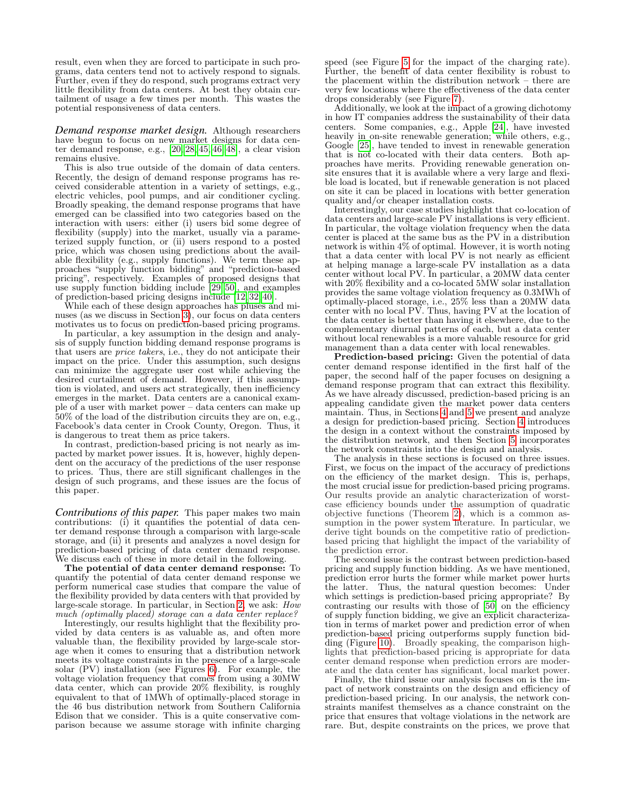result, even when they are forced to participate in such programs, data centers tend not to actively respond to signals. Further, even if they do respond, such programs extract very little flexibility from data centers. At best they obtain curtailment of usage a few times per month. This wastes the potential responsiveness of data centers.

#### *Demand response market design.* Although researchers have begun to focus on new market designs for data center demand response, e.g., [\[20,](#page-11-1) [28,](#page-11-11) [45,](#page-11-12) [46,](#page-11-13) [48\]](#page-11-10), a clear vision remains elusive.

This is also true outside of the domain of data centers. Recently, the design of demand response programs has received considerable attention in a variety of settings, e.g., electric vehicles, pool pumps, and air conditioner cycling. Broadly speaking, the demand response programs that have emerged can be classified into two categories based on the interaction with users: either (i) users bid some degree of flexibility (supply) into the market, usually via a parameterized supply function, or (ii) users respond to a posted price, which was chosen using predictions about the available flexibility (e.g., supply functions). We term these approaches "supply function bidding" and "prediction-based pricing", respectively. Examples of proposed designs that use supply function bidding include [\[29,](#page-11-14) [50\]](#page-11-15), and examples of prediction-based pricing designs include [\[12,](#page-10-4) [32,](#page-11-16) [40\]](#page-11-17).

While each of these design approaches has pluses and minuses (as we discuss in Section [3\)](#page-4-0), our focus on data centers motivates us to focus on prediction-based pricing programs.

In particular, a key assumption in the design and analysis of supply function bidding demand response programs is that users are price takers, i.e., they do not anticipate their impact on the price. Under this assumption, such designs can minimize the aggregate user cost while achieving the desired curtailment of demand. However, if this assumption is violated, and users act strategically, then inefficiency emerges in the market. Data centers are a canonical example of a user with market power – data centers can make up 50% of the load of the distribution circuits they are on, e.g., Facebook's data center in Crook County, Oregon. Thus, it is dangerous to treat them as price takers.

In contrast, prediction-based pricing is not nearly as impacted by market power issues. It is, however, highly dependent on the accuracy of the predictions of the user response to prices. Thus, there are still significant challenges in the design of such programs, and these issues are the focus of this paper.

*Contributions of this paper.* This paper makes two main contributions: (i) it quantifies the potential of data center demand response through a comparison with large-scale storage, and (ii) it presents and analyzes a novel design for prediction-based pricing of data center demand response. We discuss each of these in more detail in the following.

The potential of data center demand response: To quantify the potential of data center demand response we perform numerical case studies that compare the value of the flexibility provided by data centers with that provided by large-scale storage. In particular, in Section [2,](#page-2-0) we ask: How much (optimally placed) storage can a data center replace?

Interestingly, our results highlight that the flexibility provided by data centers is as valuable as, and often more valuable than, the flexibility provided by large-scale storage when it comes to ensuring that a distribution network meets its voltage constraints in the presence of a large-scale solar (PV) installation (see Figures [6\)](#page-4-1). For example, the voltage violation frequency that comes from using a 30MW data center, which can provide 20% flexibility, is roughly equivalent to that of 1MWh of optimally-placed storage in the 46 bus distribution network from Southern California Edison that we consider. This is a quite conservative comparison because we assume storage with infinite charging speed (see Figure [5](#page-4-2) for the impact of the charging rate). Further, the benefit of data center flexibility is robust to the placement within the distribution network – there are very few locations where the effectiveness of the data center drops considerably (see Figure [7\)](#page-5-0).

Additionally, we look at the impact of a growing dichotomy in how IT companies address the sustainability of their data centers. Some companies, e.g., Apple [\[24\]](#page-11-18), have invested heavily in on-site renewable generation; while others, e.g., Google [\[25\]](#page-11-19), have tended to invest in renewable generation that is not co-located with their data centers. Both approaches have merits. Providing renewable generation onsite ensures that it is available where a very large and flexible load is located, but if renewable generation is not placed on site it can be placed in locations with better generation quality and/or cheaper installation costs.

Interestingly, our case studies highlight that co-location of data centers and large-scale PV installations is very efficient. In particular, the voltage violation frequency when the data center is placed at the same bus as the PV in a distribution network is within 4% of optimal. However, it is worth noting that a data center with local PV is not nearly as efficient at helping manage a large-scale PV installation as a data center without local PV. In particular, a 20MW data center with 20% flexibility and a co-located 5MW solar installation provides the same voltage violation frequency as 0.3MWh of optimally-placed storage, i.e., 25% less than a 20MW data center with no local PV. Thus, having PV at the location of the data center is better than having it elsewhere, due to the complementary diurnal patterns of each, but a data center without local renewables is a more valuable resource for grid management than a data center with local renewables.

Prediction-based pricing: Given the potential of data center demand response identified in the first half of the paper, the second half of the paper focuses on designing a demand response program that can extract this flexibility. As we have already discussed, prediction-based pricing is an appealing candidate given the market power data centers maintain. Thus, in Sections [4](#page-5-1) and [5](#page-8-0) we present and analyze a design for prediction-based pricing. Section [4](#page-5-1) introduces the design in a context without the constraints imposed by the distribution network, and then Section [5](#page-8-0) incorporates the network constraints into the design and analysis.

The analysis in these sections is focused on three issues. First, we focus on the impact of the accuracy of predictions on the efficiency of the market design. This is, perhaps, the most crucial issue for prediction-based pricing programs. Our results provide an analytic characterization of worstcase efficiency bounds under the assumption of quadratic objective functions (Theorem [2\)](#page-7-0), which is a common assumption in the power system literature. In particular, we derive tight bounds on the competitive ratio of predictionbased pricing that highlight the impact of the variability of the prediction error.

The second issue is the contrast between prediction-based pricing and supply function bidding. As we have mentioned, prediction error hurts the former while market power hurts the latter. Thus, the natural question becomes: Under which settings is prediction-based pricing appropriate? By contrasting our results with those of [\[50\]](#page-11-15) on the efficiency of supply function bidding, we give an explicit characterization in terms of market power and prediction error of when prediction-based pricing outperforms supply function bidding (Figure [10\)](#page-8-1). Broadly speaking, the comparison highlights that prediction-based pricing is appropriate for data center demand response when prediction errors are moderate and the data center has significant, local market power.

Finally, the third issue our analysis focuses on is the impact of network constraints on the design and efficiency of prediction-based pricing. In our analysis, the network constraints manifest themselves as a chance constraint on the price that ensures that voltage violations in the network are rare. But, despite constraints on the prices, we prove that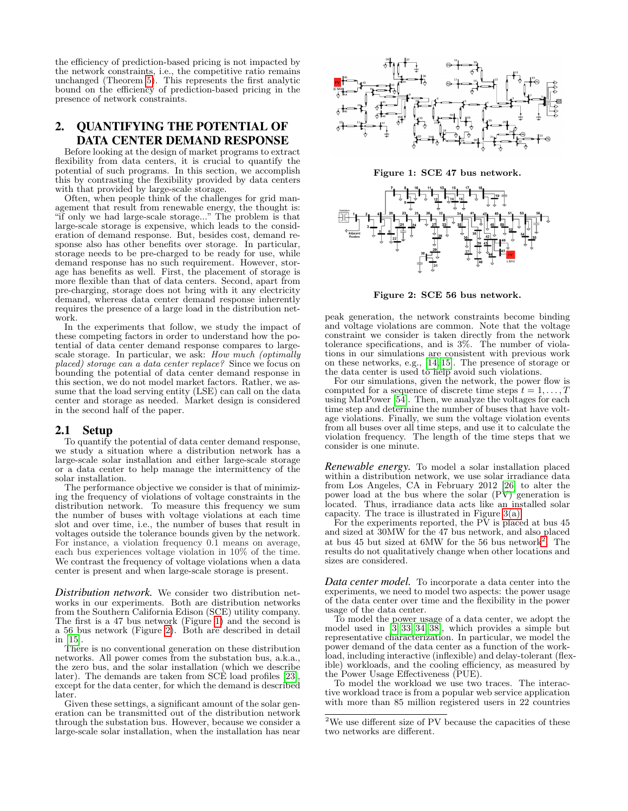the efficiency of prediction-based pricing is not impacted by the network constraints, i.e., the competitive ratio remains unchanged (Theorem [5\)](#page-9-0). This represents the first analytic bound on the efficiency of prediction-based pricing in the presence of network constraints.

# <span id="page-2-0"></span>2. QUANTIFYING THE POTENTIAL OF DATA CENTER DEMAND RESPONSE

Before looking at the design of market programs to extract flexibility from data centers, it is crucial to quantify the potential of such programs. In this section, we accomplish this by contrasting the flexibility provided by data centers with that provided by large-scale storage.

Often, when people think of the challenges for grid management that result from renewable energy, the thought is: "if only we had large-scale storage..." The problem is that large-scale storage is expensive, which leads to the consideration of demand response. But, besides cost, demand response also has other benefits over storage. In particular, storage needs to be pre-charged to be ready for use, while demand response has no such requirement. However, storage has benefits as well. First, the placement of storage is more flexible than that of data centers. Second, apart from pre-charging, storage does not bring with it any electricity demand, whereas data center demand response inherently requires the presence of a large load in the distribution network.

In the experiments that follow, we study the impact of these competing factors in order to understand how the potential of data center demand response compares to largescale storage. In particular, we ask: How much (optimally placed) storage can a data center replace? Since we focus on bounding the potential of data center demand response in this section, we do not model market factors. Rather, we assume that the load serving entity (LSE) can call on the data center and storage as needed. Market design is considered in the second half of the paper.

#### 2.1 Setup

To quantify the potential of data center demand response, we study a situation where a distribution network has a large-scale solar installation and either large-scale storage or a data center to help manage the intermittency of the solar installation.

The performance objective we consider is that of minimizing the frequency of violations of voltage constraints in the distribution network. To measure this frequency we sum the number of buses with voltage violations at each time slot and over time, i.e., the number of buses that result in voltages outside the tolerance bounds given by the network. For instance, a violation frequency 0.1 means on average, each bus experiences voltage violation in 10% of the time. We contrast the frequency of voltage violations when a data center is present and when large-scale storage is present.

*Distribution network.* We consider two distribution networks in our experiments. Both are distribution networks from the Southern California Edison (SCE) utility company. The first is a 47 bus network (Figure [1\)](#page-2-1) and the second is a 56 bus network (Figure [2\)](#page-2-2). Both are described in detail in [\[15\]](#page-10-5).

There is no conventional generation on these distribution networks. All power comes from the substation bus, a.k.a., the zero bus, and the solar installation (which we describe later). The demands are taken from SCE load profiles [\[23\]](#page-11-20), except for the data center, for which the demand is described later.

Given these settings, a significant amount of the solar generation can be transmitted out of the distribution network through the substation bus. However, because we consider a large-scale solar installation, when the installation has near



<span id="page-2-1"></span>



<span id="page-2-2"></span>Figure 2: SCE 56 bus network.

peak generation, the network constraints become binding and voltage violations are common. Note that the voltage constraint we consider is taken directly from the network tolerance specifications, and is 3%. The number of violations in our simulations are consistent with previous work on these networks, e.g., [\[14,](#page-10-6) [15\]](#page-10-5). The presence of storage or the data center is used to help avoid such violations.

For our simulations, given the network, the power flow is computed for a sequence of discrete time steps  $t = 1, \ldots, T$ using MatPower [\[54\]](#page-11-21). Then, we analyze the voltages for each time step and determine the number of buses that have voltage violations. Finally, we sum the voltage violation events from all buses over all time steps, and use it to calculate the violation frequency. The length of the time steps that we consider is one minute.

*Renewable energy.* To model a solar installation placed within a distribution network, we use solar irradiance data from Los Angeles, CA in February 2012 [\[26\]](#page-11-22) to alter the power load at the bus where the solar (PV) generation is located. Thus, irradiance data acts like an installed solar capacity. The trace is illustrated in Figure  $3(a)$ .

For the experiments reported, the PV is placed at bus 45 and sized at 30MW for the 47 bus network, and also placed at bus 45 but sized at 6MW for the 56 bus network<sup>[2](#page-2-3)</sup>. The results do not qualitatively change when other locations and sizes are considered.

*Data center model.* To incorporate a data center into the experiments, we need to model two aspects: the power usage of the data center over time and the flexibility in the power usage of the data center.

To model the power usage of a data center, we adopt the model used in  $[3, 33, 34, 38]$  $[3, 33, 34, 38]$  $[3, 33, 34, 38]$  $[3, 33, 34, 38]$ , which provides a simple but representative characterization. In particular, we model the power demand of the data center as a function of the workload, including interactive (inflexible) and delay-tolerant (flexible) workloads, and the cooling efficiency, as measured by the Power Usage Effectiveness (PUE).

To model the workload we use two traces. The interactive workload trace is from a popular web service application with more than 85 million registered users in 22 countries

<span id="page-2-3"></span><sup>&</sup>lt;sup>2</sup>We use different size of PV because the capacities of these two networks are different.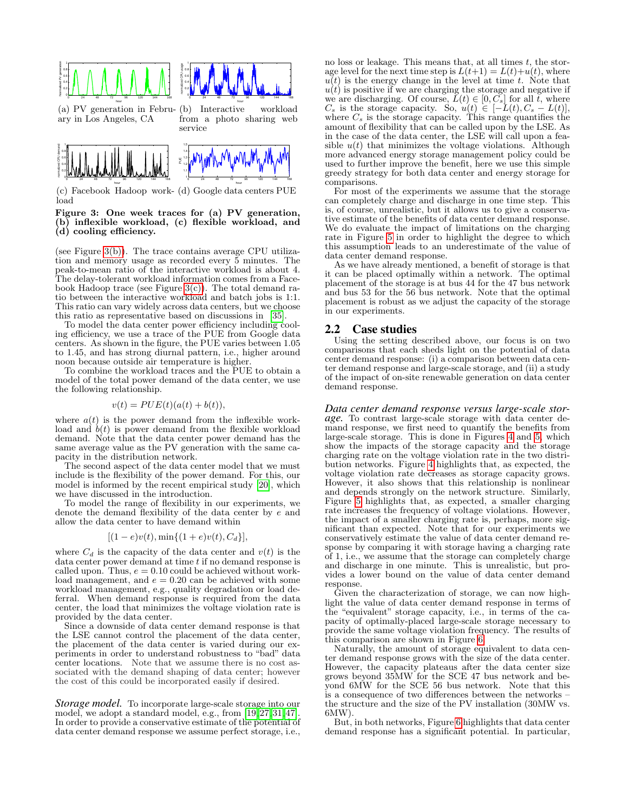<span id="page-3-0"></span>

hour (a) PV generation in Febru-(b) Interactive workload ary in Los Angeles, CA

<span id="page-3-1"></span>hour from a photo sharing web service



<span id="page-3-2"></span>(c) Facebook Hadoop work-(d) Google data centers PUE load

#### Figure 3: One week traces for (a) PV generation, (b) inflexible workload, (c) flexible workload, and (d) cooling efficiency.

(see Figure [3\(b\)\)](#page-3-1). The trace contains average CPU utilization and memory usage as recorded every 5 minutes. The peak-to-mean ratio of the interactive workload is about 4. The delay-tolerant workload information comes from a Facebook Hadoop trace (see Figure [3\(c\)\)](#page-3-2). The total demand ratio between the interactive workload and batch jobs is 1:1. This ratio can vary widely across data centers, but we choose this ratio as representative based on discussions in [\[35\]](#page-11-25).

To model the data center power efficiency including cooling efficiency, we use a trace of the PUE from Google data centers. As shown in the figure, the PUE varies between 1.05 to 1.45, and has strong diurnal pattern, i.e., higher around noon because outside air temperature is higher.

To combine the workload traces and the PUE to obtain a model of the total power demand of the data center, we use the following relationship.

$$
v(t) = PUE(t)(a(t) + b(t)),
$$

where  $a(t)$  is the power demand from the inflexible workload and  $b(t)$  is power demand from the flexible workload demand. Note that the data center power demand has the same average value as the PV generation with the same capacity in the distribution network.

The second aspect of the data center model that we must include is the flexibility of the power demand. For this, our model is informed by the recent empirical study [\[20\]](#page-11-1), which we have discussed in the introduction.

To model the range of flexibility in our experiments, we denote the demand flexibility of the data center by e and allow the data center to have demand within

$$
[(1-e)v(t), \min\{(1+e)v(t), C_d\}],
$$

where  $C_d$  is the capacity of the data center and  $v(t)$  is the  $data$  center power demand at time  $t$  if no demand response is called upon. Thus,  $e = 0.10$  could be achieved without workload management, and  $e = 0.20$  can be achieved with some workload management, e.g., quality degradation or load deferral. When demand response is required from the data center, the load that minimizes the voltage violation rate is provided by the data center.

Since a downside of data center demand response is that the LSE cannot control the placement of the data center, the placement of the data center is varied during our experiments in order to understand robustness to "bad" data center locations. Note that we assume there is no cost associated with the demand shaping of data center; however the cost of this could be incorporated easily if desired.

*Storage model.* To incorporate large-scale storage into our model, we adopt a standard model, e.g., from [\[19,](#page-11-26)[27,](#page-11-27)[31,](#page-11-28)[47\]](#page-11-29). In order to provide a conservative estimate of the potential of data center demand response we assume perfect storage, i.e.,

no loss or leakage. This means that, at all times  $t$ , the storage level for the next time step is  $L(t+1) = L(t)+u(t)$ , where  $u(t)$  is the energy change in the level at time t. Note that  $u(t)$  is positive if we are charging the storage and negative if we are discharging. Of course,  $\bar{L}(t) \in [0, C_s]$  for all  $\bar{t}$ , where  $C_s$  is the storage capacity. So,  $u(t) \in [-L(t), C_s - L(t)],$ where  $C_s$  is the storage capacity. This range quantifies the amount of flexibility that can be called upon by the LSE. As in the case of the data center, the LSE will call upon a feasible  $u(t)$  that minimizes the voltage violations. Although more advanced energy storage management policy could be used to further improve the benefit, here we use this simple greedy strategy for both data center and energy storage for comparisons.

For most of the experiments we assume that the storage can completely charge and discharge in one time step. This is, of course, unrealistic, but it allows us to give a conservative estimate of the benefits of data center demand response. We do evaluate the impact of limitations on the charging rate in Figure [5](#page-4-2) in order to highlight the degree to which this assumption leads to an underestimate of the value of data center demand response.

As we have already mentioned, a benefit of storage is that it can be placed optimally within a network. The optimal placement of the storage is at bus 44 for the 47 bus network and bus 53 for the 56 bus network. Note that the optimal placement is robust as we adjust the capacity of the storage in our experiments.

#### 2.2 Case studies

Using the setting described above, our focus is on two comparisons that each sheds light on the potential of data center demand response: (i) a comparison between data center demand response and large-scale storage, and (ii) a study of the impact of on-site renewable generation on data center demand response.

*Data center demand response versus large-scale storage.* To contrast large-scale storage with data center demand response, we first need to quantify the benefits from large-scale storage. This is done in Figures [4](#page-4-3) and [5,](#page-4-2) which show the impacts of the storage capacity and the storage charging rate on the voltage violation rate in the two distribution networks. Figure [4](#page-4-3) highlights that, as expected, the voltage violation rate decreases as storage capacity grows. However, it also shows that this relationship is nonlinear and depends strongly on the network structure. Similarly, Figure [5](#page-4-2) highlights that, as expected, a smaller charging rate increases the frequency of voltage violations. However, the impact of a smaller charging rate is, perhaps, more significant than expected. Note that for our experiments we conservatively estimate the value of data center demand response by comparing it with storage having a charging rate of 1, i.e., we assume that the storage can completely charge and discharge in one minute. This is unrealistic, but provides a lower bound on the value of data center demand response.

Given the characterization of storage, we can now highlight the value of data center demand response in terms of the "equivalent" storage capacity, i.e., in terms of the capacity of optimally-placed large-scale storage necessary to provide the same voltage violation frequency. The results of this comparison are shown in Figure [6.](#page-4-1)

Naturally, the amount of storage equivalent to data center demand response grows with the size of the data center. However, the capacity plateaus after the data center size grows beyond 35MW for the SCE 47 bus network and beyond 6MW for the SCE 56 bus network. Note that this is a consequence of two differences between the networks – the structure and the size of the PV installation (30MW vs. 6MW).

But, in both networks, Figure [6](#page-4-1) highlights that data center demand response has a significant potential. In particular,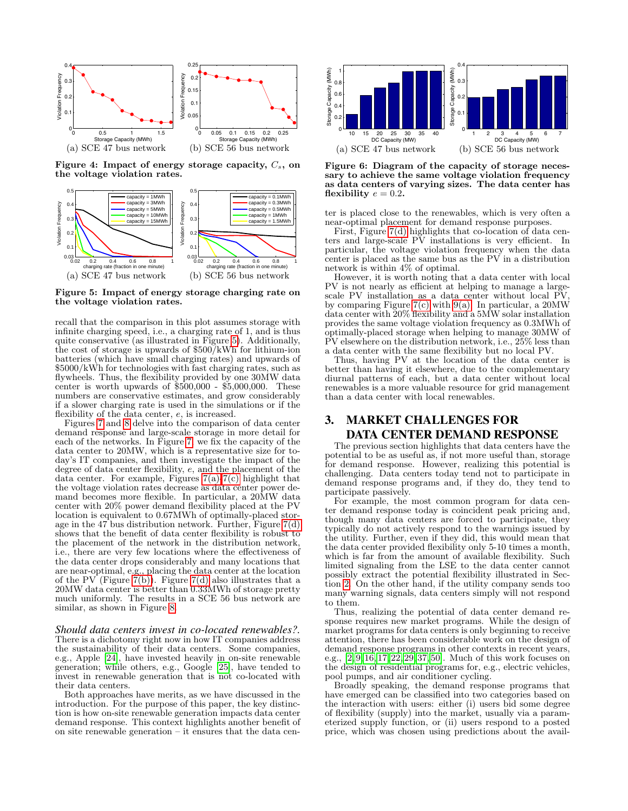

<span id="page-4-3"></span>Figure 4: Impact of energy storage capacity,  $C_s$ , on the voltage violation rates.



<span id="page-4-2"></span>Figure 5: Impact of energy storage charging rate on the voltage violation rates.

recall that the comparison in this plot assumes storage with infinite charging speed, i.e., a charging rate of 1, and is thus quite conservative (as illustrated in Figure [5\)](#page-4-2). Additionally, the cost of storage is upwards of \$500/kWh for lithium-ion batteries (which have small charging rates) and upwards of \$5000/kWh for technologies with fast charging rates, such as flywheels. Thus, the flexibility provided by one 30MW data center is worth upwards of  $$500,000 - $5,000,000$ . These numbers are conservative estimates, and grow considerably if a slower charging rate is used in the simulations or if the flexibility of the data center, e, is increased.

Figures [7](#page-5-0) and [8](#page-5-2) delve into the comparison of data center demand response and large-scale storage in more detail for each of the networks. In Figure [7,](#page-5-0) we fix the capacity of the data center to 20MW, which is a representative size for today's IT companies, and then investigate the impact of the degree of data center flexibility, e, and the placement of the data center. For example, Figures  $7(a)-7(c)$  $7(a)-7(c)$  highlight that the voltage violation rates decrease as data center power demand becomes more flexible. In particular, a 20MW data center with 20% power demand flexibility placed at the PV location is equivalent to 0.67MWh of optimally-placed storage in the 47 bus distribution network. Further, Figure [7\(d\)](#page-5-5) shows that the benefit of data center flexibility is robust to the placement of the network in the distribution network, i.e., there are very few locations where the effectiveness of the data center drops considerably and many locations that are near-optimal, e.g., placing the data center at the location of the PV (Figure  $7(b)$ ). Figure  $7(d)$  also illustrates that a 20MW data center is better than 0.33MWh of storage pretty much uniformly. The results in a SCE 56 bus network are similar, as shown in Figure [8.](#page-5-2)

*Should data centers invest in co-located renewables?.* There is a dichotomy right now in how IT companies address the sustainability of their data centers. Some companies, e.g., Apple [\[24\]](#page-11-18), have invested heavily in on-site renewable generation; while others, e.g., Google [\[25\]](#page-11-19), have tended to invest in renewable generation that is not co-located with their data centers.

Both approaches have merits, as we have discussed in the introduction. For the purpose of this paper, the key distinction is how on-site renewable generation impacts data center demand response. This context highlights another benefit of on site renewable generation – it ensures that the data cen-



<span id="page-4-1"></span>Figure 6: Diagram of the capacity of storage necessary to achieve the same voltage violation frequency as data centers of varying sizes. The data center has flexibility  $e = 0.2$ .

ter is placed close to the renewables, which is very often a near-optimal placement for demand response purposes.

First, Figure [7\(d\)](#page-5-5) highlights that co-location of data centers and large-scale PV installations is very efficient. In particular, the voltage violation frequency when the data center is placed as the same bus as the PV in a distribution network is within 4% of optimal.

However, it is worth noting that a data center with local PV is not nearly as efficient at helping to manage a largescale PV installation as a data center without local PV, by comparing Figure [7\(c\)](#page-5-4) with [9\(a\).](#page-5-7) In particular, a  $20MW$ data center with 20% flexibility and a 5MW solar installation provides the same voltage violation frequency as 0.3MWh of optimally-placed storage when helping to manage 30MW of PV elsewhere on the distribution network, i.e., 25% less than a data center with the same flexibility but no local PV.

Thus, having PV at the location of the data center is better than having it elsewhere, due to the complementary diurnal patterns of each, but a data center without local renewables is a more valuable resource for grid management than a data center with local renewables.

# <span id="page-4-0"></span>3. MARKET CHALLENGES FOR DATA CENTER DEMAND RESPONSE

The previous section highlights that data centers have the potential to be as useful as, if not more useful than, storage for demand response. However, realizing this potential is challenging. Data centers today tend not to participate in demand response programs and, if they do, they tend to participate passively.

For example, the most common program for data center demand response today is coincident peak pricing and, though many data centers are forced to participate, they typically do not actively respond to the warnings issued by the utility. Further, even if they did, this would mean that the data center provided flexibility only 5-10 times a month, which is far from the amount of available flexibility. Such limited signaling from the LSE to the data center cannot possibly extract the potential flexibility illustrated in Section [2.](#page-2-0) On the other hand, if the utility company sends too many warning signals, data centers simply will not respond to them.

Thus, realizing the potential of data center demand response requires new market programs. While the design of market programs for data centers is only beginning to receive attention, there has been considerable work on the design of demand response programs in other contexts in recent years, e.g.,  $[2, 9, 16, 17, 22, 29, 37, 50]$  $[2, 9, 16, 17, 22, 29, 37, 50]$  $[2, 9, 16, 17, 22, 29, 37, 50]$  $[2, 9, 16, 17, 22, 29, 37, 50]$  $[2, 9, 16, 17, 22, 29, 37, 50]$  $[2, 9, 16, 17, 22, 29, 37, 50]$  $[2, 9, 16, 17, 22, 29, 37, 50]$  $[2, 9, 16, 17, 22, 29, 37, 50]$ . Much of this work focuses on the design of residential programs for, e.g., electric vehicles, pool pumps, and air conditioner cycling.

Broadly speaking, the demand response programs that have emerged can be classified into two categories based on the interaction with users: either (i) users bid some degree of flexibility (supply) into the market, usually via a parameterized supply function, or (ii) users respond to a posted price, which was chosen using predictions about the avail-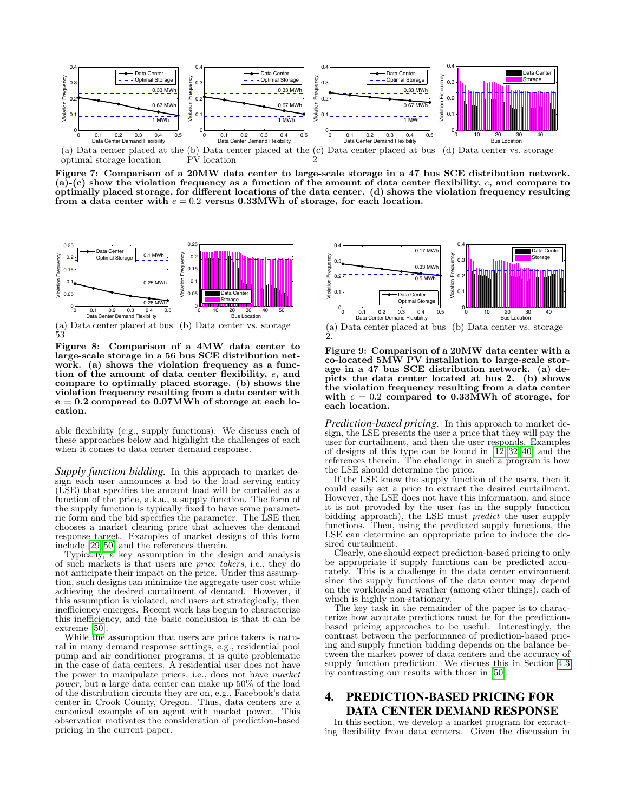<span id="page-5-3"></span>

<span id="page-5-6"></span><span id="page-5-0"></span>(a) Data center placed at the optimal storage location (b) Data center placed at the PV location (c) Data center placed at bus 2 (d) Data center vs. storage

Figure 7: Comparison of a 20MW data center to large-scale storage in a 47 bus SCE distribution network.  $(a)$ - $(c)$  show the violation frequency as a function of the amount of data center flexibility, e, and compare to optimally placed storage, for different locations of the data center. (d) shows the violation frequency resulting from a data center with  $e = 0.2$  versus 0.33MWh of storage, for each location.



(a) Data center placed at bus (b) Data center vs. storage 53

<span id="page-5-2"></span>Figure 8: Comparison of a 4MW data center to large-scale storage in a 56 bus SCE distribution network. (a) shows the violation frequency as a function of the amount of data center flexibility, e, and compare to optimally placed storage. (b) shows the violation frequency resulting from a data center with  $e = 0.2$  compared to 0.07MWh of storage at each location.

able flexibility (e.g., supply functions). We discuss each of these approaches below and highlight the challenges of each when it comes to data center demand response.

*Supply function bidding.* In this approach to market design each user announces a bid to the load serving entity (LSE) that specifies the amount load will be curtailed as a function of the price, a.k.a., a supply function. The form of the supply function is typically fixed to have some parametric form and the bid specifies the parameter. The LSE then chooses a market clearing price that achieves the demand response target. Examples of market designs of this form include [\[29,](#page-11-14) [50\]](#page-11-15) and the references therein.

Typically, a key assumption in the design and analysis of such markets is that users are price takers, i.e., they do not anticipate their impact on the price. Under this assumption, such designs can minimize the aggregate user cost while achieving the desired curtailment of demand. However, if this assumption is violated, and users act strategically, then inefficiency emerges. Recent work has begun to characterize this inefficiency, and the basic conclusion is that it can be extreme [\[50\]](#page-11-15).

While the assumption that users are price takers is natural in many demand response settings, e.g., residential pool pump and air conditioner programs; it is quite problematic in the case of data centers. A residential user does not have the power to manipulate prices, i.e., does not have market power, but a large data center can make up 50% of the load of the distribution circuits they are on, e.g., Facebook's data center in Crook County, Oregon. Thus, data centers are a canonical example of an agent with market power. This observation motivates the consideration of prediction-based pricing in the current paper.

<span id="page-5-7"></span><span id="page-5-5"></span><span id="page-5-4"></span>

2.

Figure 9: Comparison of a 20MW data center with a co-located 5MW PV installation to large-scale storage in a 47 bus SCE distribution network. (a) depicts the data center located at bus 2. (b) shows the violation frequency resulting from a data center with  $e = 0.2$  compared to 0.33MWh of storage, for each location.

*Prediction-based pricing.* In this approach to market design, the LSE presents the user a price that they will pay the user for curtailment, and then the user responds. Examples of designs of this type can be found in [\[12,](#page-10-4) [32,](#page-11-16) [40\]](#page-11-17) and the references therein. The challenge in such a program is how the LSE should determine the price.

If the LSE knew the supply function of the users, then it could easily set a price to extract the desired curtailment. However, the LSE does not have this information, and since it is not provided by the user (as in the supply function bidding approach), the LSE must predict the user supply functions. Then, using the predicted supply functions, the LSE can determine an appropriate price to induce the desired curtailment.

Clearly, one should expect prediction-based pricing to only be appropriate if supply functions can be predicted accurately. This is a challenge in the data center environment since the supply functions of the data center may depend on the workloads and weather (among other things), each of which is highly non-stationary.

The key task in the remainder of the paper is to characterize how accurate predictions must be for the predictionbased pricing approaches to be useful. Interestingly, the contrast between the performance of prediction-based pricing and supply function bidding depends on the balance between the market power of data centers and the accuracy of supply function prediction. We discuss this in Section [4.3](#page-7-1) by contrasting our results with those in [\[50\]](#page-11-15).

# <span id="page-5-1"></span>4. PREDICTION-BASED PRICING FOR DATA CENTER DEMAND RESPONSE

In this section, we develop a market program for extracting flexibility from data centers. Given the discussion in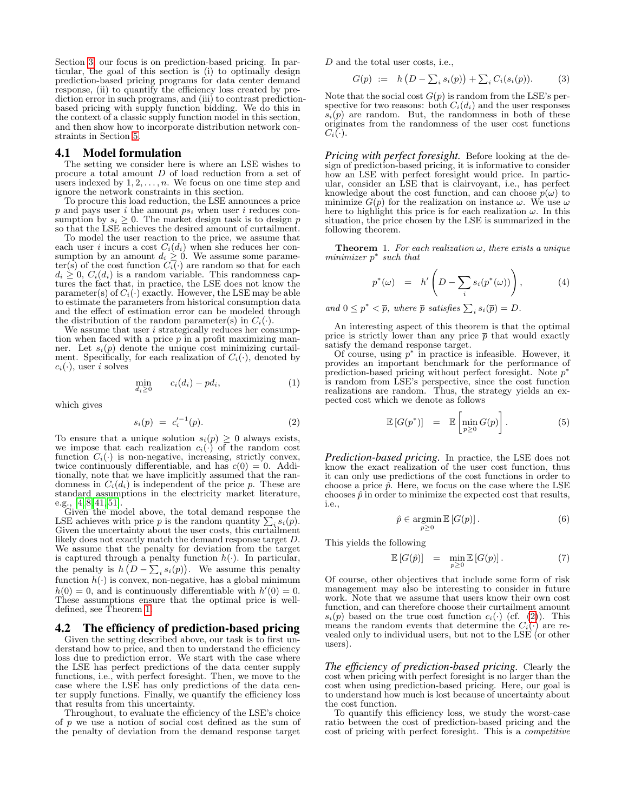Section [3,](#page-4-0) our focus is on prediction-based pricing. In particular, the goal of this section is (i) to optimally design prediction-based pricing programs for data center demand response, (ii) to quantify the efficiency loss created by prediction error in such programs, and (iii) to contrast predictionbased pricing with supply function bidding. We do this in the context of a classic supply function model in this section, and then show how to incorporate distribution network constraints in Section [5.](#page-8-0)

#### 4.1 Model formulation

The setting we consider here is where an LSE wishes to procure a total amount D of load reduction from a set of users indexed by  $1, 2, \ldots, n$ . We focus on one time step and ignore the network constraints in this section.

To procure this load reduction, the LSE announces a price p and pays user i the amount  $ps_i$  when user i reduces consumption by  $s_i \geq 0$ . The market design task is to design p so that the LSE achieves the desired amount of curtailment.

To model the user reaction to the price, we assume that each user i incurs a cost  $C_i(d_i)$  when she reduces her consumption by an amount  $d_i \geq 0$ . We assume some parameter(s) of the cost function  $C_i(\cdot)$  are random so that for each  $d_i \geq 0$ ,  $C_i(d_i)$  is a random variable. This randomness captures the fact that, in practice, the LSE does not know the parameter(s) of  $C_i(\cdot)$  exactly. However, the LSE may be able to estimate the parameters from historical consumption data and the effect of estimation error can be modeled through the distribution of the random parameter(s) in  $C_i(\cdot)$ .

We assume that user  $i$  strategically reduces her consumption when faced with a price  $p$  in a profit maximizing manner. Let  $s_i(p)$  denote the unique cost minimizing curtailment. Specifically, for each realization of  $C_i(\cdot)$ , denoted by  $c_i(\cdot)$ , user *i* solves

$$
\min_{d_i \ge 0} \qquad c_i(d_i) - pd_i,\tag{1}
$$

which gives

<span id="page-6-1"></span>
$$
s_i(p) = c_i'^{-1}(p). \tag{2}
$$

To ensure that a unique solution  $s_i(p) \geq 0$  always exists, we impose that each realization  $c_i(\cdot)$  of the random cost function  $C_i(\cdot)$  is non-negative, increasing, strictly convex, twice continuously differentiable, and has  $c(0) = 0$ . Additionally, note that we have implicitly assumed that the randomness in  $C_i(d_i)$  is independent of the price p. These are standard assumptions in the electricity market literature, e.g., [\[4,](#page-10-12) [8,](#page-10-13) [41,](#page-11-32) [51\]](#page-11-33).

Given the model above, the total demand response the LSE achieves with price p is the random quantity  $\sum_i s_i(p)$ . Given the uncertainty about the user costs, this curtailment likely does not exactly match the demand response target D. We assume that the penalty for deviation from the target is captured through a penalty function  $h(\cdot)$ . In particular, the penalty is  $h(D - \sum_i s_i(p))$ . We assume this penalty function  $h(\cdot)$  is convex, non-negative, has a global minimum  $h(0) = 0$ , and is continuously differentiable with  $h'(0) = 0$ . These assumptions ensure that the optimal price is welldefined, see Theorem [1.](#page-6-0)

### 4.2 The efficiency of prediction-based pricing

Given the setting described above, our task is to first understand how to price, and then to understand the efficiency loss due to prediction error. We start with the case where the LSE has perfect predictions of the data center supply functions, i.e., with perfect foresight. Then, we move to the case where the LSE has only predictions of the data center supply functions. Finally, we quantify the efficiency loss that results from this uncertainty.

Throughout, to evaluate the efficiency of the LSE's choice of p we use a notion of social cost defined as the sum of the penalty of deviation from the demand response target D and the total user costs, i.e.,

$$
G(p) := h (D - \sum_i s_i(p)) + \sum_i C_i(s_i(p)). \tag{3}
$$

Note that the social cost  $G(p)$  is random from the LSE's perspective for two reasons: both  $C_i(d_i)$  and the user responses  $s_i(p)$  are random. But, the randomness in both of these originates from the randomness of the user cost functions  $C_i(\cdot)$ .

*Pricing with perfect foresight.* Before looking at the design of prediction-based pricing, it is informative to consider how an LSE with perfect foresight would price. In particular, consider an LSE that is clairvoyant, i.e., has perfect knowledge about the cost function, and can choose  $p(\omega)$  to minimize  $G(p)$  for the realization on instance  $\omega$ . We use  $\omega$ here to highlight this price is for each realization  $\omega$ . In this situation, the price chosen by the LSE is summarized in the following theorem.

<span id="page-6-0"></span>**Theorem** 1. For each realization  $\omega$ , there exists a unique minimizer  $p^*$  such that

$$
p^*(\omega) = h' \left( D - \sum_i s_i(p^*(\omega)) \right), \tag{4}
$$

and  $0 \le p^* < \overline{p}$ , where  $\overline{p}$  satisfies  $\sum_i s_i(\overline{p}) = D$ .

An interesting aspect of this theorem is that the optimal price is strictly lower than any price  $\bar{p}$  that would exactly satisfy the demand response target.

Of course, using  $p^*$  in practice is infeasible. However, it provides an important benchmark for the performance of prediction-based pricing without perfect foresight. Note  $p^*$ is random from LSE's perspective, since the cost function realizations are random. Thus, the strategy yields an expected cost which we denote as follows

$$
\mathbb{E}\left[G(p^*)\right] = \mathbb{E}\left[\min_{p\geq 0} G(p)\right].\tag{5}
$$

*Prediction-based pricing.* In practice, the LSE does not know the exact realization of the user cost function, thus it can only use predictions of the cost functions in order to choose a price  $\hat{p}$ . Here, we focus on the case where the LSE chooses  $\hat{p}$  in order to minimize the expected cost that results, i.e.,

$$
\hat{p} \in \operatorname*{argmin}_{p \ge 0} \mathbb{E}\left[G(p)\right].\tag{6}
$$

This yields the following

<span id="page-6-2"></span>
$$
\mathbb{E}\left[G(\hat{p})\right] = \min_{p\geq 0} \mathbb{E}\left[G(p)\right].\tag{7}
$$

Of course, other objectives that include some form of risk management may also be interesting to consider in future work. Note that we assume that users know their own cost function, and can therefore choose their curtailment amount  $s_i(p)$  based on the true cost function  $c_i(\cdot)$  (cf. [\(2\)](#page-6-1)). This means the random events that determine the  $C_i(\cdot)$  are revealed only to individual users, but not to the LSE (or other users).

*The efficiency of prediction-based pricing.* Clearly the cost when pricing with perfect foresight is no larger than the cost when using prediction-based pricing. Here, our goal is to understand how much is lost because of uncertainty about the cost function.

To quantify this efficiency loss, we study the worst-case ratio between the cost of prediction-based pricing and the cost of pricing with perfect foresight. This is a competitive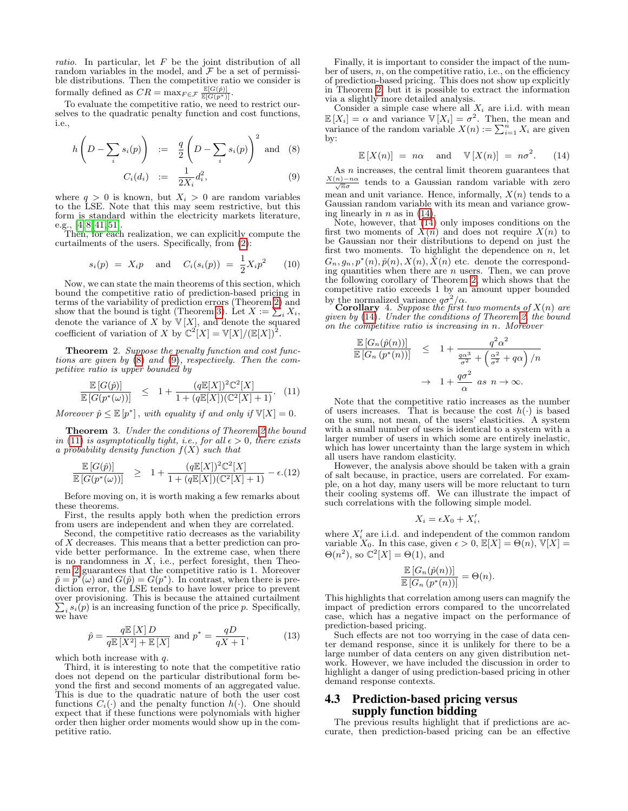ratio. In particular, let F be the joint distribution of all random variables in the model, and  $\mathcal F$  be a set of permissible distributions. Then the competitive ratio we consider is formally defined as  $CR = \max_{F \in \mathcal{F}} \frac{\mathbb{E}[G(\hat{p})]}{\mathbb{E}[G(p^*)]}$ .

To evaluate the competitive ratio, we need to restrict ourselves to the quadratic penalty function and cost functions, i.e.,

<span id="page-7-3"></span>
$$
h\left(D - \sum_{i} s_i(p)\right) := \frac{q}{2}\left(D - \sum_{i} s_i(p)\right)^2 \text{ and } (8)
$$
  

$$
C_i(d_i) := \frac{1}{2\Delta t} d_i^2,
$$
 (9)

$$
C_i(d_i) \quad := \quad \frac{1}{2X_i} d_i^2, \tag{9}
$$

where  $q > 0$  is known, but  $X_i > 0$  are random variables to the LSE. Note that this may seem restrictive, but this form is standard within the electricity markets literature, e.g., [\[4,](#page-10-12) [8,](#page-10-13) [41,](#page-11-32) [51\]](#page-11-33).

Then, for each realization, we can explicitly compute the curtailments of the users. Specifically, from [\(2\)](#page-6-1):

<span id="page-7-6"></span>
$$
s_i(p) = X_i p
$$
 and  $C_i(s_i(p)) = \frac{1}{2} X_i p^2$  (10)

Now, we can state the main theorems of this section, which bound the competitive ratio of prediction-based pricing in terms of the variability of prediction errors (Theorem [2\)](#page-7-0) and show that the bound is tight (Theorem [3\)](#page-7-2). Let  $X := \sum_i X_i$ , denote the variance of X by  $\mathbb{V}[X]$ , and denote the squared coefficient of variation of X by  $\mathbb{C}^2[X] = \mathbb{V}[X]/(\mathbb{E}[X])^2$ .

<span id="page-7-0"></span>Theorem 2. Suppose the penalty function and cost functions are given by  $(\hat{8})$  and  $(\hat{9})$ , respectively. Then the competitive ratio is upper bounded by

<span id="page-7-4"></span>
$$
\frac{\mathbb{E}\left[G(\hat{p})\right]}{\mathbb{E}\left[G(p^*(\omega))\right]} \leq 1 + \frac{(q\mathbb{E}[X])^2 \mathbb{C}^2[X]}{1 + (q\mathbb{E}[X])(\mathbb{C}^2[X] + 1)}. (11)
$$

Moreover  $\hat{p} \leq \mathbb{E}[p^*]$ , with equality if and only if  $\mathbb{V}[X] = 0$ .

<span id="page-7-2"></span>Theorem 3. Under the conditions of Theorem [2](#page-7-0) the bound in [\(11\)](#page-7-4) is asymptotically tight, i.e., for all  $\epsilon > 0$ , there exists a probability density function  $f(X)$  such that

$$
\frac{\mathbb{E}\left[G(\hat{p})\right]}{\mathbb{E}\left[G(p^*(\omega))\right]} \geq 1 + \frac{(q\mathbb{E}[X])^2 \mathbb{C}^2[X]}{1 + (q\mathbb{E}[X])(\mathbb{C}^2[X]+1)} - \epsilon.(12)
$$

Before moving on, it is worth making a few remarks about these theorems.

First, the results apply both when the prediction errors from users are independent and when they are correlated.

Second, the competitive ratio decreases as the variability of X decreases. This means that a better prediction can provide better performance. In the extreme case, when there is no randomness in  $X$ , i.e., perfect foresight, then Theorem [2](#page-7-0) guarantees that the competitive ratio is 1. Moreover  $\hat{p} = p^*(\omega)$  and  $G(\hat{p}) = G(p^*)$ . In contrast, when there is prediction error, the LSE tends to have lower price to prevent over provisioning. This is because the attained curtailment  $\sum_i s_i(p)$  is an increasing function of the price p. Specifically, we have

$$
\hat{p} = \frac{q \mathbb{E}[X] D}{q \mathbb{E}[X^2] + \mathbb{E}[X]} \text{ and } p^* = \frac{qD}{qX + 1},\tag{13}
$$

which both increase with q.

Third, it is interesting to note that the competitive ratio does not depend on the particular distributional form beyond the first and second moments of an aggregated value. This is due to the quadratic nature of both the user cost functions  $C_i(\cdot)$  and the penalty function  $h(\cdot)$ . One should expect that if these functions were polynomials with higher order then higher order moments would show up in the competitive ratio.

Finally, it is important to consider the impact of the number of users,  $n$ , on the competitive ratio, i.e., on the efficiency of prediction-based pricing. This does not show up explicitly in Theorem [2,](#page-7-0) but it is possible to extract the information via a slightly more detailed analysis.

Consider a simple case where all  $X_i$  are i.i.d. with mean  $\mathbb{E}[X_i] = \alpha$  and variance  $\mathbb{V}[X_i] = \sigma^2$ . Then, the mean and variance of the random variable  $X(n) := \sum_{i=1}^{n} X_i$  are given  $hv$ 

<span id="page-7-5"></span>
$$
\mathbb{E}[X(n)] = n\alpha \quad \text{and} \quad \mathbb{V}[X(n)] = n\sigma^2. \tag{14}
$$

As  $n$  increases, the central limit theorem guarantees that  $\frac{X(n)-n\alpha}{\sqrt{n}\sigma}$  tends to a Gaussian random variable with zero mean and unit variance. Hence, informally,  $X(n)$  tends to a Gaussian random variable with its mean and variance growing linearly in  $n$  as in  $(14)$ .

Note, however, that [\(14\)](#page-7-5) only imposes conditions on the first two moments of  $X(n)$  and does not require  $X(n)$  to be Gaussian nor their distributions to depend on just the first two moments. To highlight the dependence on  $n$ , let  $G_n, g_n, p^*(n), \hat{p}(n), X(n), \hat{X}(n)$  etc. denote the corresponding quantities when there are  $n$  users. Then, we can prove the following corollary of Theorem [2,](#page-7-0) which shows that the competitive ratio exceeds 1 by an amount upper bounded by the normalized variance  $q\sigma^2/\alpha$ .

**Corollary** 4. Suppose the first two moments of  $X(n)$  are given by [\(14\)](#page-7-5). Under the conditions of Theorem [2,](#page-7-0) the bound on the competitive ratio is increasing in n. Moreover

<span id="page-7-7"></span>
$$
\frac{\mathbb{E}\left[G_n(\hat{p}(n))\right]}{\mathbb{E}\left[G_n(p^*(n))\right]} \leq 1 + \frac{q^2\alpha^2}{\frac{q\alpha^3}{\sigma^2} + \left(\frac{\alpha^2}{\sigma^2} + q\alpha\right)/n}
$$

$$
\to 1 + \frac{q\sigma^2}{\alpha} \text{ as } n \to \infty.
$$

Note that the competitive ratio increases as the number of users increases. That is because the cost  $h(\cdot)$  is based on the sum, not mean, of the users' elasticities. A system with a small number of users is identical to a system with a larger number of users in which some are entirely inelastic, which has lower uncertainty than the large system in which all users have random elasticity.

However, the analysis above should be taken with a grain of salt because, in practice, users are correlated. For example, on a hot day, many users will be more reluctant to turn their cooling systems off. We can illustrate the impact of such correlations with the following simple model.

$$
X_i = \epsilon X_0 + X_i',
$$

where  $X'_i$  are i.i.d. and independent of the common random variable  $X_0$ . In this case, given  $\epsilon > 0$ ,  $\mathbb{E}[X] = \Theta(n)$ ,  $\mathbb{V}[X] =$  $\Theta(n^2)$ , so  $\mathbb{C}^2[X] = \Theta(1)$ , and

$$
\frac{\mathbb{E}\left[G_n(\hat{p}(n))\right]}{\mathbb{E}\left[G_n(p^*(n))\right]} = \Theta(n).
$$

This highlights that correlation among users can magnify the impact of prediction errors compared to the uncorrelated case, which has a negative impact on the performance of prediction-based pricing.

Such effects are not too worrying in the case of data center demand response, since it is unlikely for there to be a large number of data centers on any given distribution network. However, we have included the discussion in order to highlight a danger of using prediction-based pricing in other demand response contexts.

# <span id="page-7-1"></span>4.3 Prediction-based pricing versus supply function bidding

The previous results highlight that if predictions are accurate, then prediction-based pricing can be an effective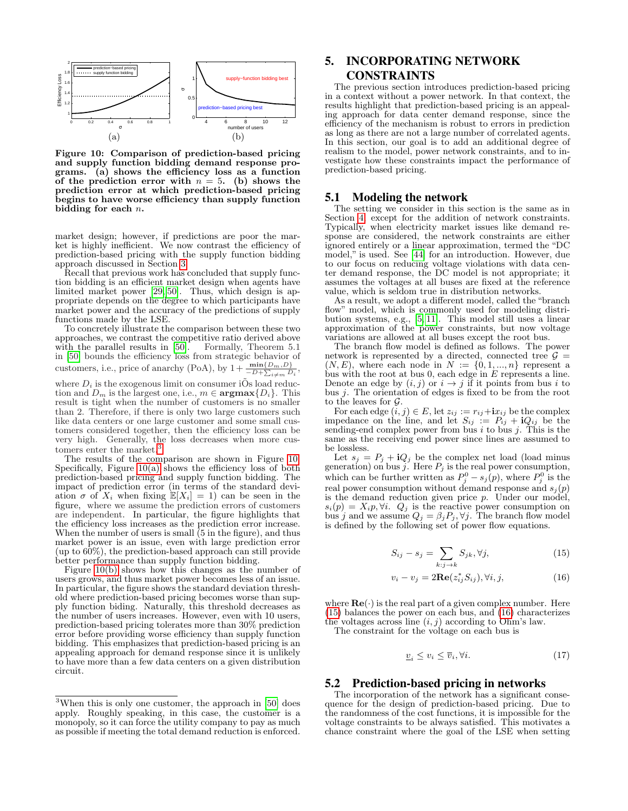<span id="page-8-3"></span>

<span id="page-8-4"></span><span id="page-8-1"></span>Figure 10: Comparison of prediction-based pricing and supply function bidding demand response programs. (a) shows the efficiency loss as a function of the prediction error with  $n = 5$ . (b) shows the prediction error at which prediction-based pricing begins to have worse efficiency than supply function bidding for each  $n$ .

market design; however, if predictions are poor the market is highly inefficient. We now contrast the efficiency of prediction-based pricing with the supply function bidding approach discussed in Section [3.](#page-4-0)

Recall that previous work has concluded that supply function bidding is an efficient market design when agents have limited market power [\[29,](#page-11-14) [50\]](#page-11-15). Thus, which design is appropriate depends on the degree to which participants have market power and the accuracy of the predictions of supply functions made by the LSE.

To concretely illustrate the comparison between these two approaches, we contrast the competitive ratio derived above with the parallel results in [\[50\]](#page-11-15). Formally, Theorem 5.1 in [\[50\]](#page-11-15) bounds the efficiency loss from strategic behavior of customers, i.e., price of anarchy (PoA), by  $1+\frac{\min\{D_m,D\}}{-D+\sum_{i\neq m}D_i}$ , where  $D_i$  is the exogenous limit on consumer i $\tilde{O}$ s load reduction and  $D_m$  is the largest one, i.e.,  $m \in \mathbf{argmax}{D_i}$ . This result is tight when the number of customers is no smaller than 2. Therefore, if there is only two large customers such like data centers or one large customer and some small customers considered together, then the efficiency loss can be very high. Generally, the loss decreases when more cus-

tomers enter the market.<sup>[3](#page-8-2)</sup> The results of the comparison are shown in Figure [10.](#page-8-1) Specifically, Figure [10\(a\)](#page-8-3) shows the efficiency loss of both prediction-based pricing and supply function bidding. The impact of prediction error (in terms of the standard devi-<br>ation  $\sigma$  of  $X_i$  when fixing  $\mathbb{E}[X_i] = 1$ ) can be seen in the figure, where we assume the prediction errors of customers are independent. In particular, the figure highlights that the efficiency loss increases as the prediction error increase. When the number of users is small  $(5 \text{ in the figure})$ , and thus market power is an issue, even with large prediction error (up to 60%), the prediction-based approach can still provide better performance than supply function bidding.

Figure [10\(b\)](#page-8-4) shows how this changes as the number of users grows, and thus market power becomes less of an issue. In particular, the figure shows the standard deviation threshold where prediction-based pricing becomes worse than supply function biding. Naturally, this threshold decreases as the number of users increases. However, even with 10 users, prediction-based pricing tolerates more than 30% prediction error before providing worse efficiency than supply function bidding. This emphasizes that prediction-based pricing is an appealing approach for demand response since it is unlikely to have more than a few data centers on a given distribution circuit.

# <span id="page-8-0"></span>5. INCORPORATING NETWORK CONSTRAINTS

The previous section introduces prediction-based pricing in a context without a power network. In that context, the results highlight that prediction-based pricing is an appealing approach for data center demand response, since the efficiency of the mechanism is robust to errors in prediction as long as there are not a large number of correlated agents. In this section, our goal is to add an additional degree of realism to the model, power network constraints, and to investigate how these constraints impact the performance of prediction-based pricing.

# 5.1 Modeling the network

The setting we consider in this section is the same as in Section [4,](#page-5-1) except for the addition of network constraints. Typically, when electricity market issues like demand response are considered, the network constraints are either ignored entirely or a linear approximation, termed the "DC model," is used. See [\[44\]](#page-11-34) for an introduction. However, due to our focus on reducing voltage violations with data center demand response, the DC model is not appropriate; it assumes the voltages at all buses are fixed at the reference value, which is seldom true in distribution networks.

As a result, we adopt a different model, called the "branch flow" model, which is commonly used for modeling distribution systems, e.g., [\[5,](#page-10-14) [11\]](#page-10-15). This model still uses a linear approximation of the power constraints, but now voltage variations are allowed at all buses except the root bus.

The branch flow model is defined as follows. The power network is represented by a directed, connected tree  $\mathcal{G}$  =  $(N, E)$ , where each node in  $N := \{0, 1, ..., n\}$  represent a bus with the root at bus 0, each edge in  $E$  represents a line. Denote an edge by  $(i, j)$  or  $i \rightarrow j$  if it points from bus i to bus j. The orientation of edges is fixed to be from the root to the leaves for  $\mathcal{G}$ .

For each edge  $(i, j) \in E$ , let  $z_{ij} := r_{ij} + \mathbf{i} x_{ij}$  be the complex impedance on the line, and let  $S_{ij} := P_{ij} + iQ_{ij}$  be the sending-end complex power from bus  $i$  to bus  $j$ . This is the same as the receiving end power since lines are assumed to be lossless.

Let  $s_j = P_j + iQ_j$  be the complex net load (load minus generation) on bus j. Here  $P_j$  is the real power consumption, which can be further written as  $P_j^0 - s_j(p)$ , where  $P_j^0$  is the real power consumption without demand response and  $s_j(p)$ is the demand reduction given price p. Under our model,  $s_i(p) = X_i p, \forall i$ .  $Q_j$  is the reactive power consumption on bus j and we assume  $Q_j = \beta_j P_j, \forall j$ . The branch flow model is defined by the following set of power flow equations.

<span id="page-8-5"></span>
$$
S_{ij} - s_j = \sum_{k:j \to k} S_{jk}, \forall j,
$$
\n(15)

<span id="page-8-6"></span>
$$
v_i - v_j = 2\mathbf{Re}(z_{ij}^* S_{ij}), \forall i, j,
$$
\n(16)

where  $\text{Re}(\cdot)$  is the real part of a given complex number. Here [\(15\)](#page-8-5) balances the power on each bus, and [\(16\)](#page-8-6) characterizes the voltages across line  $(i, j)$  according to Ohm's law.

The constraint for the voltage on each bus is

<span id="page-8-7"></span>
$$
\underline{v}_i \le v_i \le \overline{v}_i, \forall i. \tag{17}
$$

#### 5.2 Prediction-based pricing in networks

The incorporation of the network has a significant consequence for the design of prediction-based pricing. Due to the randomness of the cost functions, it is impossible for the voltage constraints to be always satisfied. This motivates a chance constraint where the goal of the LSE when setting

<span id="page-8-2"></span> $^3 \rm{When}$  this is only one customer, the approach in [\[50\]](#page-11-15) does apply. Roughly speaking, in this case, the customer is a monopoly, so it can force the utility company to pay as much as possible if meeting the total demand reduction is enforced.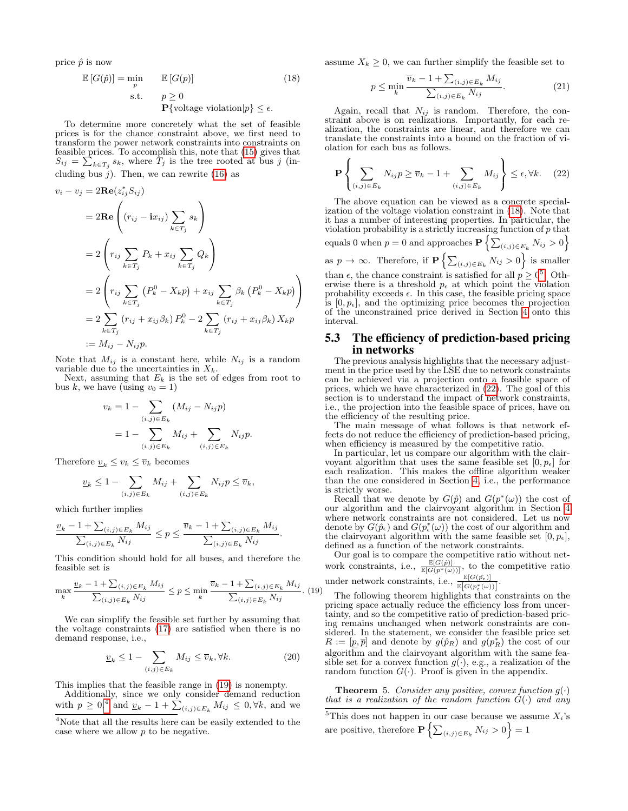price  $\hat{p}$  is now

<span id="page-9-3"></span>
$$
\mathbb{E}\left[G(\hat{p})\right] = \min_{p} \qquad \mathbb{E}\left[G(p)\right] \tag{18}
$$
\n
$$
\text{s.t.} \qquad p \ge 0
$$
\n
$$
\mathbf{P}\{\text{voltage violation}|p\} \le \epsilon.
$$

To determine more concretely what the set of feasible prices is for the chance constraint above, we first need to transform the power network constraints into constraints on feasible prices. To accomplish this, note that [\(15\)](#page-8-5) gives that  $S_{ij} = \sum_{k \in T_j} s_k$ , where  $\overline{T}_j$  is the tree rooted at bus j (including bus  $j$ ). Then, we can rewrite [\(16\)](#page-8-6) as

$$
v_i - v_j = 2\mathbf{Re}(z_{ij}^* S_{ij})
$$
  
\n
$$
= 2\mathbf{Re}\left((r_{ij} - i x_{ij})\sum_{k \in T_j} s_k\right)
$$
  
\n
$$
= 2\left(r_{ij}\sum_{k \in T_j} P_k + x_{ij}\sum_{k \in T_j} Q_k\right)
$$
  
\n
$$
= 2\left(r_{ij}\sum_{k \in T_j} (P_k^0 - X_k p) + x_{ij}\sum_{k \in T_j} \beta_k (P_k^0 - X_k p)\right)
$$
  
\n
$$
= 2\sum_{k \in T_j} (r_{ij} + x_{ij}\beta_k) P_k^0 - 2\sum_{k \in T_j} (r_{ij} + x_{ij}\beta_k) X_k p
$$
  
\n
$$
:= M_{ij} - N_{ij} p.
$$

Note that  $M_{ij}$  is a constant here, while  $N_{ij}$  is a random variable due to the uncertainties in  $X_k$ .

Next, assuming that  $E_k$  is the set of edges from root to bus k, we have (using  $v_0 = 1$ )

$$
v_k = 1 - \sum_{(i,j) \in E_k} (M_{ij} - N_{ij}p)
$$
  
= 1 - \sum\_{(i,j) \in E\_k} M\_{ij} + \sum\_{(i,j) \in E\_k} N\_{ij}p.

Therefore  $\underline{v}_k \leq v_k \leq \overline{v}_k$  becomes

<span id="page-9-1"></span>
$$
\underline{v}_k \le 1 - \sum_{(i,j)\in E_k} M_{ij} + \sum_{(i,j)\in E_k} N_{ij} p \le \overline{v}_k,
$$

which further implies

$$
\frac{\nu_k - 1 + \sum_{(i,j) \in E_k} M_{ij}}{\sum_{(i,j) \in E_k} N_{ij}} \le p \le \frac{\overline{\nu}_k - 1 + \sum_{(i,j) \in E_k} M_{ij}}{\sum_{(i,j) \in E_k} N_{ij}}.
$$

This condition should hold for all buses, and therefore the feasible set is

$$
\max_{k} \frac{v_k - 1 + \sum_{(i,j) \in E_k} M_{ij}}{\sum_{(i,j) \in E_k} N_{ij}} \le p \le \min_{k} \frac{\overline{v}_k - 1 + \sum_{(i,j) \in E_k} M_{ij}}{\sum_{(i,j) \in E_k} N_{ij}}.
$$
(19)

We can simplify the feasible set further by assuming that the voltage constraints [\(17\)](#page-8-7) are satisfied when there is no demand response, i.e.,

$$
\underline{v}_k \le 1 - \sum_{(i,j)\in E_k} M_{ij} \le \overline{v}_k, \forall k. \tag{20}
$$

This implies that the feasible range in [\(19\)](#page-9-1) is nonempty.

Additionally, since we only consider demand reduction with  $p \geq 0$ ,<sup>[4](#page-9-2)</sup> and  $\underline{v}_k - 1 + \sum_{(i,j) \in E_k} M_{ij} \leq 0$ ,  $\forall k$ , and we

<span id="page-9-2"></span><sup>4</sup>Note that all the results here can be easily extended to the case where we allow p to be negative.

assume  $X_k \geq 0$ , we can further simplify the feasible set to

$$
p \le \min_{k} \frac{\overline{v}_{k} - 1 + \sum_{(i,j) \in E_{k}} M_{ij}}{\sum_{(i,j) \in E_{k}} N_{ij}}.
$$
\n(21)

Again, recall that  $N_{ij}$  is random. Therefore, the constraint above is on realizations. Importantly, for each realization, the constraints are linear, and therefore we can translate the constraints into a bound on the fraction of violation for each bus as follows.

<span id="page-9-5"></span>
$$
\mathbf{P}\left\{\sum_{(i,j)\in E_k} N_{ij}p \ge \overline{v}_k - 1 + \sum_{(i,j)\in E_k} M_{ij}\right\} \le \epsilon, \forall k. \quad (22)
$$

The above equation can be viewed as a concrete specialization of the voltage violation constraint in [\(18\)](#page-9-3). Note that it has a number of interesting properties. In particular, the violation probability is a strictly increasing function of  $p$  that equals 0 when  $p = 0$  and approaches  $\mathbf{P}\left\{\sum_{(i,j)\in E_k} N_{ij} > 0\right\}$ as  $p \to \infty$ . Therefore, if  $\mathbf{P}\left\{\sum_{(i,j)\in E_k} N_{ij} > 0\right\}$  is smaller than  $\epsilon$ , the chance constraint is satisfied for all  $p \geq 0^5$  $p \geq 0^5$ . Otherwise there is a threshold  $p_{\epsilon}$  at which point the violation probability exceeds  $\epsilon$ . In this case, the feasible pricing space is  $[0, p_{\epsilon}]$ , and the optimizing price becomes the projection of the unconstrained price derived in Section [4](#page-5-1) onto this interval.

### 5.3 The efficiency of prediction-based pricing in networks

The previous analysis highlights that the necessary adjustment in the price used by the LSE due to network constraints can be achieved via a projection onto a feasible space of prices, which we have characterized in [\(22\)](#page-9-5). The goal of this section is to understand the impact of network constraints, i.e., the projection into the feasible space of prices, have on the efficiency of the resulting price.

The main message of what follows is that network effects do not reduce the efficiency of prediction-based pricing, when efficiency is measured by the competitive ratio.

In particular, let us compare our algorithm with the clairvoyant algorithm that uses the same feasible set  $[0, p_{\epsilon}]$  for each realization. This makes the offline algorithm weaker than the one considered in Section [4,](#page-5-1) i.e., the performance is strictly worse.

Recall that we denote by  $G(\hat{p})$  and  $G(p^*(\omega))$  the cost of our algorithm and the clairvoyant algorithm in Section [4](#page-5-1) where network constraints are not considered. Let us now denote by  $G(\hat{p}_{\epsilon})$  and  $G(p_{\epsilon}^*(\omega))$  the cost of our algorithm and the clairvoyant algorithm with the same feasible set  $[0, p_{\epsilon}],$ defined as a function of the network constraints.

Our goal is to compare the competitive ratio without network constraints, i.e.,  $\frac{\mathbb{E}[G(\hat{p})]}{\mathbb{E}[G(p^*(\omega))]},$  to the competitive ratio under network constraints, i.e.,  $\frac{\mathbb{E}[G(p_{\epsilon})]}{\mathbb{E}[G(p_{\epsilon}^*(\omega))]}$ .

The following theorem highlights that constraints on the pricing space actually reduce the efficiency loss from uncertainty, and so the competitive ratio of prediction-based pricing remains unchanged when network constraints are considered. In the statement, we consider the feasible price set  $R := [p, \overline{p}]$  and denote by  $g(\hat{p}_R)$  and  $g(p_R^*)$  the cost of our algorithm and the clairvoyant algorithm with the same feasible set for a convex function  $g(\cdot)$ , e.g., a realization of the random function  $G(\cdot)$ . Proof is given in the appendix.

<span id="page-9-0"></span>**Theorem** 5. Consider any positive, convex function  $g(\cdot)$ that is a realization of the random function  $G(\cdot)$  and any

<span id="page-9-4"></span><sup>5</sup>This does not happen in our case because we assume  $X_i$ 's are positive, therefore  $\mathbf{P}\left\{\sum_{(i,j)\in E_k} N_{ij} > 0\right\} = 1$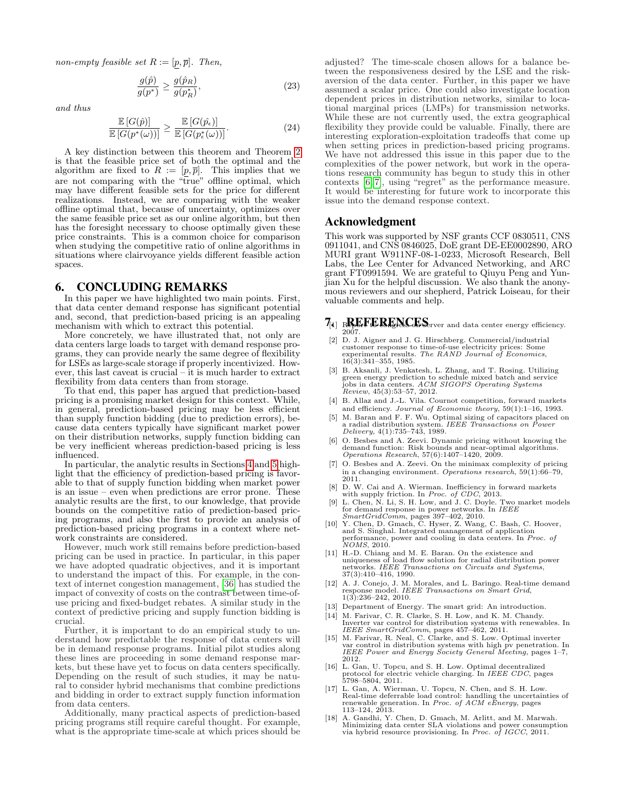non-empty feasible set  $R := [p, \overline{p}]$ . Then,

$$
\frac{g(\hat{p})}{g(p^*)} \ge \frac{g(\hat{p}_R)}{g(p_R^*)},\tag{23}
$$

and thus

$$
\frac{\mathbb{E}\left[G(\hat{p})\right]}{\mathbb{E}\left[G(p^*(\omega))\right]} \ge \frac{\mathbb{E}\left[G(\hat{p_\epsilon})\right]}{\mathbb{E}\left[G(p^*_\epsilon(\omega))\right]}.\tag{24}
$$

A key distinction between this theorem and Theorem [2](#page-7-0) is that the feasible price set of both the optimal and the algorithm are fixed to  $R := [p, \overline{p}]$ . This implies that we are not comparing with the " $\overline{true}$ " offline optimal, which may have different feasible sets for the price for different realizations. Instead, we are comparing with the weaker offline optimal that, because of uncertainty, optimizes over the same feasible price set as our online algorithm, but then has the foresight necessary to choose optimally given these price constraints. This is a common choice for comparison when studying the competitive ratio of online algorithms in situations where clairvoyance yields different feasible action spaces.

# 6. CONCLUDING REMARKS

In this paper we have highlighted two main points. First, that data center demand response has significant potential and, second, that prediction-based pricing is an appealing mechanism with which to extract this potential.

More concretely, we have illustrated that, not only are data centers large loads to target with demand response programs, they can provide nearly the same degree of flexibility for LSEs as large-scale storage if properly incentivized. However, this last caveat is crucial – it is much harder to extract flexibility from data centers than from storage.

To that end, this paper has argued that prediction-based pricing is a promising market design for this context. While, in general, prediction-based pricing may be less efficient than supply function bidding (due to prediction errors), because data centers typically have significant market power on their distribution networks, supply function bidding can be very inefficient whereas prediction-based pricing is less influenced.

In particular, the analytic results in Sections [4](#page-5-1) and [5](#page-8-0) highlight that the efficiency of prediction-based pricing is favorable to that of supply function bidding when market power is an issue – even when predictions are error prone. These analytic results are the first, to our knowledge, that provide bounds on the competitive ratio of prediction-based pricing programs, and also the first to provide an analysis of prediction-based pricing programs in a context where network constraints are considered.

However, much work still remains before prediction-based pricing can be used in practice. In particular, in this paper we have adopted quadratic objectives, and it is important to understand the impact of this. For example, in the context of internet congestion management, [\[36\]](#page-11-35) has studied the impact of convexity of costs on the contrast between time-ofuse pricing and fixed-budget rebates. A similar study in the context of predictive pricing and supply function bidding is crucial.

Further, it is important to do an empirical study to understand how predictable the response of data centers will be in demand response programs. Initial pilot studies along these lines are proceeding in some demand response markets, but these have yet to focus on data centers specifically. Depending on the result of such studies, it may be natural to consider hybrid mechanisms that combine predictions and bidding in order to extract supply function information from data centers.

Additionally, many practical aspects of prediction-based pricing programs still require careful thought. For example, what is the appropriate time-scale at which prices should be adjusted? The time-scale chosen allows for a balance between the responsiveness desired by the LSE and the riskaversion of the data center. Further, in this paper we have assumed a scalar price. One could also investigate location dependent prices in distribution networks, similar to locational marginal prices (LMPs) for transmission networks. While these are not currently used, the extra geographical flexibility they provide could be valuable. Finally, there are interesting exploration-exploitation tradeoffs that come up when setting prices in prediction-based pricing programs. We have not addressed this issue in this paper due to the complexities of the power network, but work in the operations research community has begun to study this in other contexts [\[6,](#page-10-16) [7\]](#page-10-17), using "regret" as the performance measure. It would be interesting for future work to incorporate this issue into the demand response context.

#### Acknowledgment

This work was supported by NSF grants CCF 0830511, CNS 0911041, and CNS 0846025, DoE grant DE-EE0002890, ARO MURI grant W911NF-08-1-0233, Microsoft Research, Bell Labs, the Lee Center for Advanced Networking, and ARC grant FT0991594. We are grateful to Qiuyu Peng and Yunjian Xu for the helpful discussion. We also thank the anonymous reviewers and our shepherd, Patrick Loiseau, for their valuable comments and help.

- <span id="page-10-1"></span> $7_{11}$  Report to  $R$  FRERENCES erver and data center energy efficiency. 2007.
- <span id="page-10-8"></span>[2] D. J. Aigner and J. G. Hirschberg. Commercial/industrial customer response to time-of-use electricity prices: Some experimental results. The RAND Journal of Economics,  $16(3):341-355, 1985.$
- <span id="page-10-7"></span>[3] B. Aksanli, J. Venkatesh, L. Zhang, and T. Rosing. Utilizing green energy prediction to schedule mixed batch and service jobs in data centers. ACM SIGOPS Operating Systems Review, 45(3):53–57, 2012.
- <span id="page-10-12"></span>[4] B. Allaz and J.-L. Vila. Cournot competition, forward markets and efficiency. Journal of Economic theory, 59(1):1-16, 1993.
- <span id="page-10-14"></span>[5] M. Baran and F. F. Wu. Optimal sizing of capacitors placed on a radial distribution system. IEEE Transactions on Power Delivery, 4(1):735–743, 1989.
- <span id="page-10-16"></span>[6] O. Besbes and A. Zeevi. Dynamic pricing without knowing the demand function: Risk bounds and near-optimal algorithms. Operations Research, 57(6):1407–1420, 2009.
- <span id="page-10-17"></span>[7] O. Besbes and A. Zeevi. On the minimax complexity of pricing in a changing environment. Operations research, 59(1):66–79, 2011.
- <span id="page-10-13"></span>[8] D. W. Cai and A. Wierman. Inefficiency in forward markets with supply friction. In Proc. of CDC, 2013.
- <span id="page-10-9"></span>[9] L. Chen, N. Li, S. H. Low, and J. C. Doyle. Two market models for demand response in power networks. In IEEE SmartGridComm, pages 397–402, 2010.
- <span id="page-10-2"></span>[10] Y. Chen, D. Gmach, C. Hyser, Z. Wang, C. Bash, C. Hoover, and S. Singhal. Integrated management of application performance, power and cooling in data centers. In Proc. of NOMS, 2010.
- <span id="page-10-15"></span>[11] H.-D. Chiang and M. E. Baran. On the existence and<br>uniqueness of load flow solution for radial distribution<br>networks. IEEE Transactions on Circuits and Systems, 37(3):410–416, 1990.
- <span id="page-10-4"></span>[12] A. J. Conejo, J. M. Morales, and L. Baringo. Real-time demand response model. IEEE Transactions on Smart Grid, 1(3):236–242, 2010.
- <span id="page-10-0"></span>[13] Department of Energy. The smart grid: An introduction.
- <span id="page-10-6"></span>[14] M. Farivar, C. R. Clarke, S. H. Low, and K. M. Chandy. Inverter var control for distribution systems with renewables. In IEEE SmartGridComm, pages 457–462, 2011.
- <span id="page-10-5"></span>[15] M. Farivar, R. Neal, C. Clarke, and S. Low. Optimal inverter var control in distribution systems with high pv penetration. In IEEE Power and Energy Society General Meeting, pages 1–7, 2012.
- <span id="page-10-10"></span>[16] L. Gan, U. Topcu, and S. H. Low. Optimal decentralized protocol for electric vehicle charging. In IEEE CDC, pages 5798–5804, 2011.
- <span id="page-10-11"></span>[17] L. Gan, A. Wierman, U. Topcu, N. Chen, and S. H. Low. Real-time deferrable load control: handling the uncertainties of renewable generation. In *Proc. of ACM eEnergy*, pages 113–124, 2013.
- <span id="page-10-3"></span>[18] A. Gandhi, Y. Chen, D. Gmach, M. Arlitt, and M. Marwah. Minimizing data center SLA violations and power consumption via hybrid resource provisioning. In Proc. of IGCC, 2011.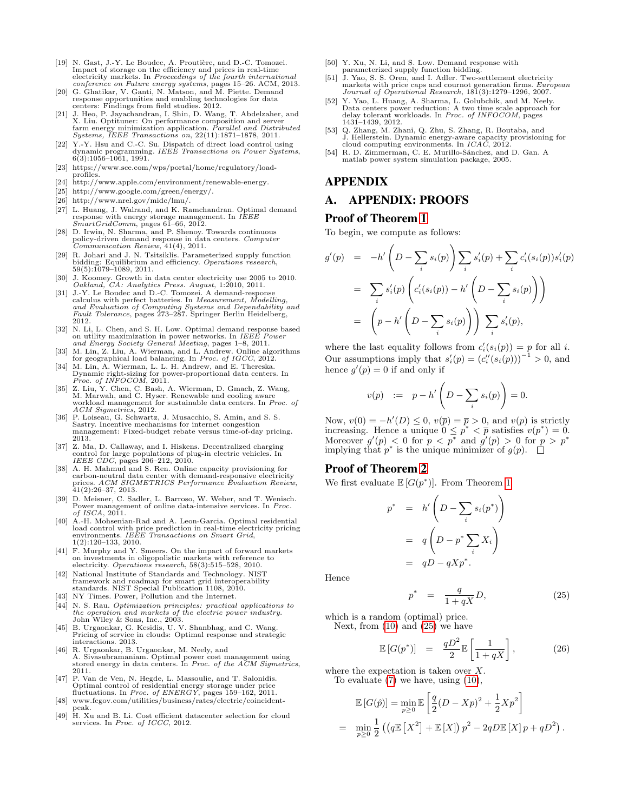- <span id="page-11-26"></span>[19] N. Gast, J.-Y. Le Boudec, A. Proutière, and D.-C. Tomozei.<br>Impact of storage on the efficiency and prices in real-time<br>electricity markets. In *Proceedings of the fourth international*<br>*conference on Future energy sys*
- <span id="page-11-1"></span>[20] G. Ghatikar, V. Ganti, N. Matson, and M. Piette. Demand response opportunities and enabling technologies for data centers: Findings from field studies. 2012.
- <span id="page-11-4"></span>[21] J. Heo, P. Jayachandran, I. Shin, D. Wang, T. Abdelzaher, and X. Liu. Optituner: On performance composition and server farm energy minimization application. Parallel and Distributed Systems, IEEE Transactions on,  $22$
- <span id="page-11-30"></span>[22] Y.-Y. Hsu and C.-C. Su. Dispatch of direct load control using dynamic programming. IEEE Transactions on Power Systems, 6(3):1056–1061, 1991.
- <span id="page-11-20"></span>[23] https://www.sce.com/wps/portal/home/regulatory/loadprofiles.
- <span id="page-11-18"></span>[24] http://www.apple.com/environment/renewable-energy.
- <span id="page-11-19"></span>[25] http://www.google.com/green/energy/.
- <span id="page-11-22"></span>[26] http://www.nrel.gov/midc/lmu/.
- <span id="page-11-27"></span>[27] L. Huang, J. Walrand, and K. Ramchandran. Optimal demand response with energy storage management. In IEEE SmartGridComm, pages 61–66, 2012.
- <span id="page-11-11"></span>[28] D. Irwin, N. Sharma, and P. Shenoy. Towards continuous<br>policy-driven demand response in data centers. Computer<br>Communication Review, 41(4), 2011.
- <span id="page-11-14"></span>[29] R. Johari and J. N. Tsitsiklis. Parameterized supply function bidding: Equilibrium and efficiency. *Operations research*,<br>59(5):1079–1089, 2011.
- <span id="page-11-3"></span>[30] J. Koomey. Growth in data center electricity use 2005 to 2010. Oakland, CA: Analytics Press. August, 1:2010, 2011.
- <span id="page-11-28"></span>[31] J.-Y. Le Boudec and D.-C. Tomozei. A demand-response calculus with perfect batteries. In Measurement, Modelling, and Evaluation of Computing Systems and Dependability and Fault Tolerance, pages 273–287. Springer Berlin Heidelberg, 2012.
- <span id="page-11-16"></span>[32] N. Li, L. Chen, and S. H. Low. Optimal demand response based<br>on utility maximization in power networks. In *IEEE Power*<br>and Energy Society General Meeting, pages 1–8, 2011.
- <span id="page-11-23"></span>[33] M. Lin, Z. Liu, A. Wierman, and L. Andrew. Online algorithms
- <span id="page-11-5"></span>for geographical load balancing. In *Proc. of IGCC*, 2012.<br>
[34] M. Lin, A. Wierman, L. L. H. Andrew, and E. Thereska.<br>
Dynamic right-sizing for power-proportional data centers. In<br> *Proc. of INFOCOM*, 2011.
- <span id="page-11-25"></span>[35] Z. Liu, Y. Chen, C. Bash, A. Wierman, D. Gmach, Z. Wang, M. Marwah, and C. Hyser. Renewable and cooling aware workload management for sustainable data centers. In *Proc. of* ACM Sigmetrics, 2012.
- <span id="page-11-35"></span>[36] P. Loiseau, G. Schwartz, J. Musacchio, S. Amin, and S. S. Sastry. Incentive mechanisms for internet congestion management: Fixed-budget rebate versus time-of-day pricing. 2013.
- <span id="page-11-31"></span>[37] Z. Ma, D. Callaway, and I. Hiskens. Decentralized charging control for large populations of plug-in electric vehicles. In IEEE CDC, pages 206–212, 2010.
- <span id="page-11-24"></span>[38] A. H. Mahmud and S. Ren. Online capacity provisioning for carbon-neutral data center with demand-responsive electricity prices. ACM SIGMETRICS Performance Evaluation Review, 41(2):26–37, 2013.
- <span id="page-11-6"></span>[39] D. Meisner, C. Sadler, L. Barroso, W. Weber, and T. Wenisch. Power management of online data-intensive services. In Proc. of ISCA, 2011.
- <span id="page-11-17"></span>[40] A.-H. Mohsenian-Rad and A. Leon-Garcia. Optimal residential load control with price prediction in real-time electricity pricing<br>environments. IEEE Transactions on Smart Grid, 1(2):120–133, 2010.
- <span id="page-11-32"></span>[41] F. Murphy and Y. Smeers. On the impact of forward markets on investments in oligopolistic markets with reference to electricity. *Operations research*, 58(3):515–528, 2010.
- <span id="page-11-0"></span>[42] National Institute of Standards and Technology. NIST framework and roadmap for smart grid interoperability standards. NIST Special Publication 1108, 2010.
- <span id="page-11-2"></span>[43] NY Times. Power, Pollution and the Internet.
- <span id="page-11-34"></span>[44] N. S. Rau. Optimization principles: practical applications to the operation and markets of the electric power industry. John Wiley & Sons, Inc., 2003. [45] B. Urgaonkar, G. Kesidis, U. V. Shanbhag, and C. Wang.
- <span id="page-11-12"></span>Pricing of service in clouds: Optimal response and strategic interactions. 2013.
- <span id="page-11-13"></span>[46] R. Urgaonkar, B. Urgaonkar, M. Neely, and A. Sivasubramaniam. Optimal power cost management using stored energy in data centers. In *Proc. of the ACM Sigmetrics*, 2011.
- <span id="page-11-29"></span>[47] P. Van de Ven, N. Hegde, L. Massoulie, and T. Salonidis. Optimal control of residential energy storage under price<br>fluctuations. In *Proc. of ENERGY*, pages 159–162, 2011.
- <span id="page-11-10"></span>[48] www.fcgov.com/utilities/business/rates/electric/coincidentpeak.
- <span id="page-11-7"></span>[49] H. Xu and B. Li. Cost efficient datacenter selection for cloud services. In Proc. of ICCC, 2012.
- <span id="page-11-15"></span>[50] Y. Xu, N. Li, and S. Low. Demand response with parameterized supply function bidding.
- <span id="page-11-33"></span>[51] J. Yao, S. S. Oren, and I. Adler. Two-settlement electricity markets with price caps and cournot generation firms. European Journal of Operational Research, 181(3):1279–1296, 2007.
- <span id="page-11-8"></span>[52] Y. Yao, L. Huang, A. Sharma, L. Golubchik, and M. Neely. Data centers power reduction: A two time scale approach for delay tolerant workloads. In Proc. of INFOCOM, pages 1431–1439, 2012.
- <span id="page-11-9"></span>[53] Q. Zhang, M. Zhani, Q. Zhu, S. Zhang, R. Boutaba, and<br>
J. Hellerstein. Dynamic energy-aware capacity provisioning for<br>
cloud computing environments. In  $ICAC$ , 2012.<br>
[54] R. D. Zimmerman, C. E. Murillo-Sánchez, and D.
- <span id="page-11-21"></span>matlab power system simulation package, 2005.

# APPENDIX

# A. APPENDIX: PROOFS

### Proof of Theorem [1](#page-6-0)

To begin, we compute as follows:

$$
g'(p) = -h'\left(D - \sum_{i} s_i(p)\right) \sum_{i} s'_i(p) + \sum_{i} c'_i(s_i(p))s'_i(p)
$$
  

$$
= \sum_{i} s'_i(p) \left(c'_i(s_i(p)) - h'\left(D - \sum_{i} s_i(p)\right)\right)
$$
  

$$
= \left(p - h'\left(D - \sum_{i} s_i(p)\right)\right) \sum_{i} s'_i(p),
$$

where the last equality follows from  $c'_i(s_i(p)) = p$  for all *i*. Our assumptions imply that  $s_i'(p) = (c_i''(s_i(p)))^{-1} > 0$ , and hence  $g'(p) = 0$  if and only if

$$
v(p) \quad := \quad p - h' \left( D - \sum_i s_i(p) \right) = 0.
$$

Now,  $v(0) = -h'(D) \leq 0$ ,  $v(\overline{p}) = \overline{p} > 0$ , and  $v(p)$  is strictly increasing. Hence a unique  $0 \leq p^* < \bar{p}$  satisfies  $v(p^*) = 0$ . Moreover  $g'(p) < 0$  for  $p < p^*$  and  $g'(p) > 0$  for  $p > p^*$ implying that  $p^*$  is the unique minimizer of  $g(p)$ .

# Proof of Theorem [2](#page-7-0)

We first evaluate  $\mathbb{E}[G(p^*)]$ . From Theorem [1](#page-6-0)

$$
p^* = h'\left(D - \sum_i s_i(p^*)\right)
$$
  
=  $q\left(D - p^* \sum_i X_i\right)$   
=  $qD - qXp^*$ .

Hence

<span id="page-11-36"></span>
$$
p^* = \frac{q}{1+qX}D,\tag{25}
$$

which is a random (optimal) price.

Next, from [\(10\)](#page-7-6) and [\(25\)](#page-11-36) we have

<span id="page-11-37"></span>
$$
\mathbb{E}\left[G(p^*)\right] = \frac{qD^2}{2}\mathbb{E}\left[\frac{1}{1+qX}\right],\tag{26}
$$

where the expectation is taken over X. To evaluate  $(7)$  we have, using  $(10)$ ,

$$
\mathbb{E}\left[G(\hat{p})\right] = \min_{p\geq 0} \mathbb{E}\left[\frac{q}{2}(D - Xp)^2 + \frac{1}{2}Xp^2\right]
$$
  
= 
$$
\min_{p\geq 0} \frac{1}{2}\left(\left(q\mathbb{E}\left[X^2\right] + \mathbb{E}\left[X\right]\right)p^2 - 2qD\mathbb{E}\left[X\right]p + qD^2\right).
$$